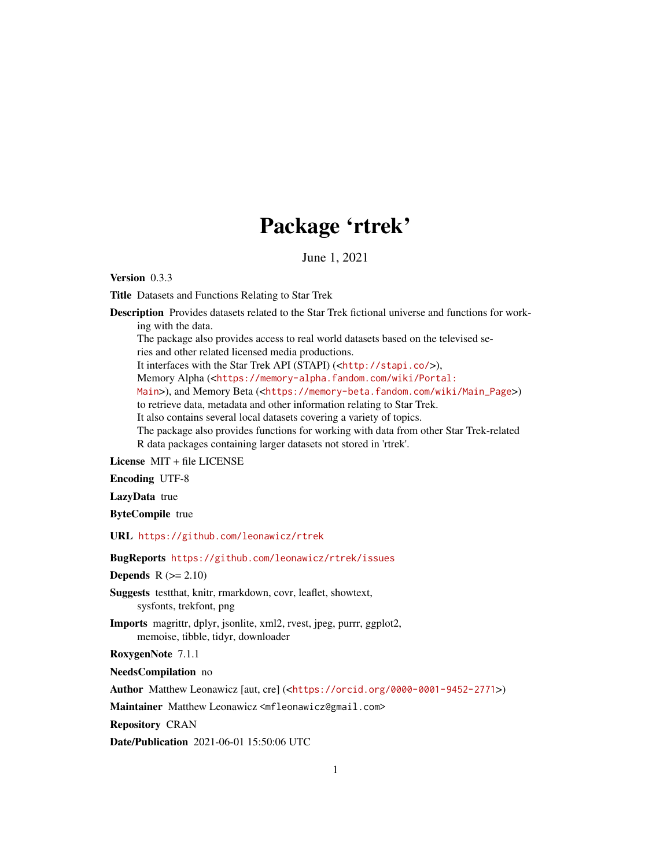# Package 'rtrek'

June 1, 2021

Version 0.3.3

Title Datasets and Functions Relating to Star Trek

Description Provides datasets related to the Star Trek fictional universe and functions for working with the data.

The package also provides access to real world datasets based on the televised series and other related licensed media productions.

It interfaces with the Star Trek API (STAPI) (<<http://stapi.co/>>),

Memory Alpha (<[https://memory-alpha.fandom.com/wiki/Portal:](https://memory-alpha.fandom.com/wiki/Portal:Main)

[Main](https://memory-alpha.fandom.com/wiki/Portal:Main)>), and Memory Beta (<[https://memory-beta.fandom.com/wiki/Main\\_Page](https://memory-beta.fandom.com/wiki/Main_Page)>)

to retrieve data, metadata and other information relating to Star Trek.

It also contains several local datasets covering a variety of topics.

The package also provides functions for working with data from other Star Trek-related R data packages containing larger datasets not stored in 'rtrek'.

License MIT + file LICENSE

Encoding UTF-8

LazyData true

ByteCompile true

URL <https://github.com/leonawicz/rtrek>

## BugReports <https://github.com/leonawicz/rtrek/issues>

**Depends**  $R$  ( $>= 2.10$ )

Suggests testthat, knitr, rmarkdown, covr, leaflet, showtext, sysfonts, trekfont, png

Imports magrittr, dplyr, jsonlite, xml2, rvest, jpeg, purrr, ggplot2, memoise, tibble, tidyr, downloader

RoxygenNote 7.1.1

NeedsCompilation no

Author Matthew Leonawicz [aut, cre] (<<https://orcid.org/0000-0001-9452-2771>>)

Maintainer Matthew Leonawicz <mfleonawicz@gmail.com>

Repository CRAN

Date/Publication 2021-06-01 15:50:06 UTC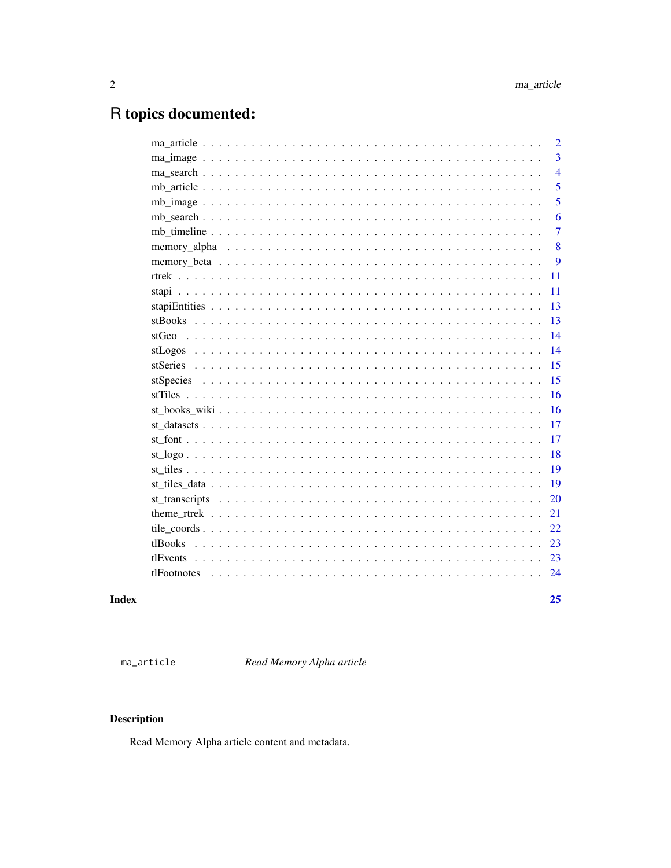## <span id="page-1-0"></span>R topics documented:

|           | $\overline{2}$ |
|-----------|----------------|
|           | $\overline{3}$ |
|           | $\overline{4}$ |
|           | 5              |
|           | 5              |
|           | 6              |
|           | $\overline{7}$ |
|           | 8              |
|           | 9              |
|           | 11             |
|           | 11             |
|           | 13             |
| stBooks   | 13             |
|           | 14             |
|           | 14             |
|           | 15             |
| stSpecies | 15             |
|           | 16             |
|           | 16             |
|           | 17             |
|           | 17             |
|           | 18             |
|           | 19             |
|           | 19             |
|           | 20             |
|           | 21             |
|           | 22             |
| tlBooks   | 23             |
| tlEvents  | 23             |
|           | 24             |
|           |                |
|           | 25             |

## **Index**

<span id="page-1-1"></span> $ma\_article$ 

Read Memory Alpha article

## Description

Read Memory Alpha article content and metadata.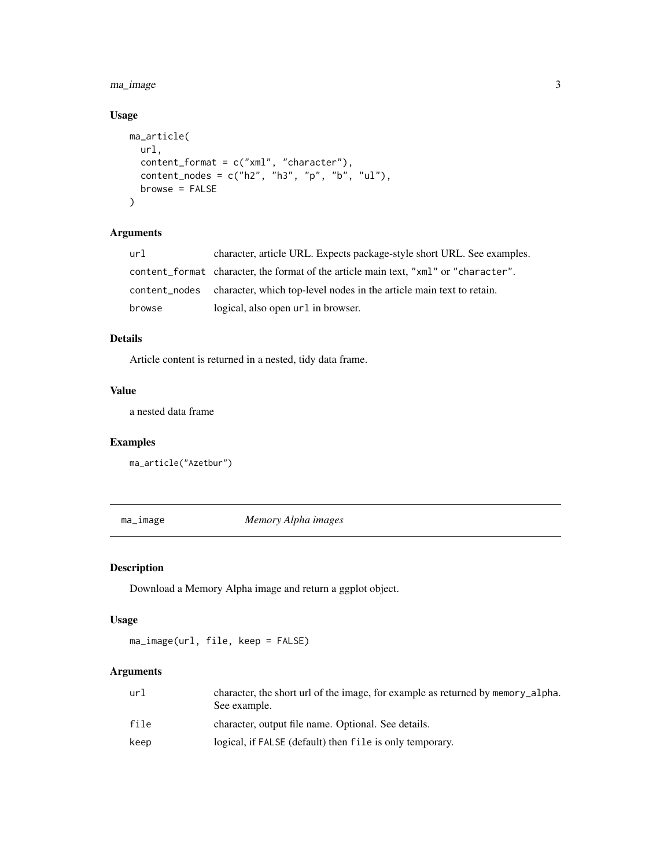<span id="page-2-0"></span>ma\_image 3

## Usage

```
ma_article(
  url,
  content_format = c("xml", "character"),
  content\_nodes = c("h2", "h3", "p", "b", "ul"),browse = FALSE
\mathcal{E}
```
## Arguments

| url    | character, article URL. Expects package-style short URL. See examples.               |
|--------|--------------------------------------------------------------------------------------|
|        | content_format character, the format of the article main text, "xml" or "character". |
|        | content_nodes character, which top-level nodes in the article main text to retain.   |
| browse | logical, also open url in browser.                                                   |

## Details

Article content is returned in a nested, tidy data frame.

## Value

a nested data frame

## Examples

ma\_article("Azetbur")

ma\_image *Memory Alpha images*

## Description

Download a Memory Alpha image and return a ggplot object.

#### Usage

ma\_image(url, file, keep = FALSE)

## Arguments

| url  | character, the short url of the image, for example as returned by memory alpha.<br>See example. |
|------|-------------------------------------------------------------------------------------------------|
| file | character, output file name. Optional. See details.                                             |
| keep | logical, if FALSE (default) then file is only temporary.                                        |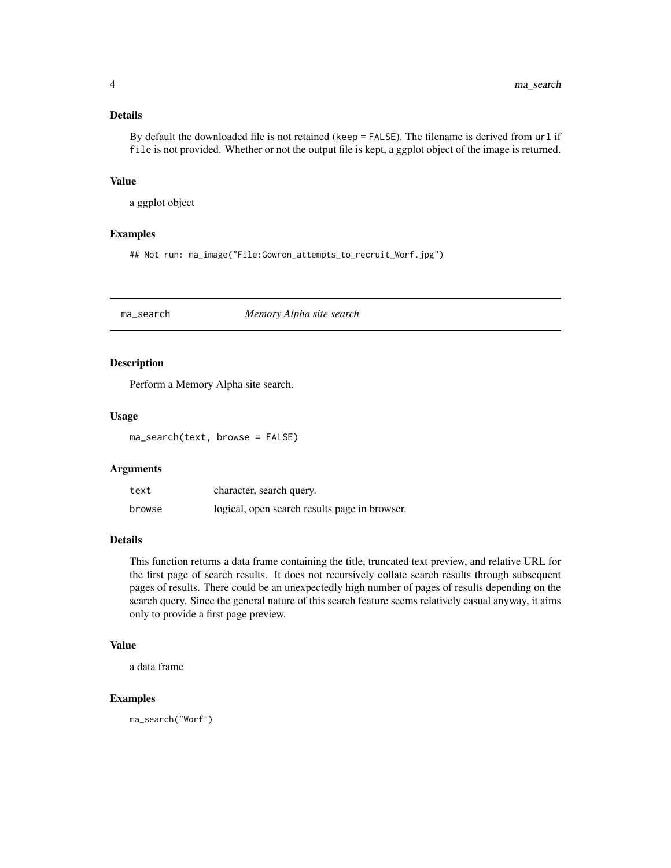## <span id="page-3-0"></span>Details

By default the downloaded file is not retained (keep = FALSE). The filename is derived from url if file is not provided. Whether or not the output file is kept, a ggplot object of the image is returned.

#### Value

a ggplot object

## Examples

## Not run: ma\_image("File:Gowron\_attempts\_to\_recruit\_Worf.jpg")

ma\_search *Memory Alpha site search*

## Description

Perform a Memory Alpha site search.

#### Usage

ma\_search(text, browse = FALSE)

## Arguments

| text   | character, search query.                      |
|--------|-----------------------------------------------|
| browse | logical, open search results page in browser. |

#### Details

This function returns a data frame containing the title, truncated text preview, and relative URL for the first page of search results. It does not recursively collate search results through subsequent pages of results. There could be an unexpectedly high number of pages of results depending on the search query. Since the general nature of this search feature seems relatively casual anyway, it aims only to provide a first page preview.

## Value

a data frame

#### Examples

ma\_search("Worf")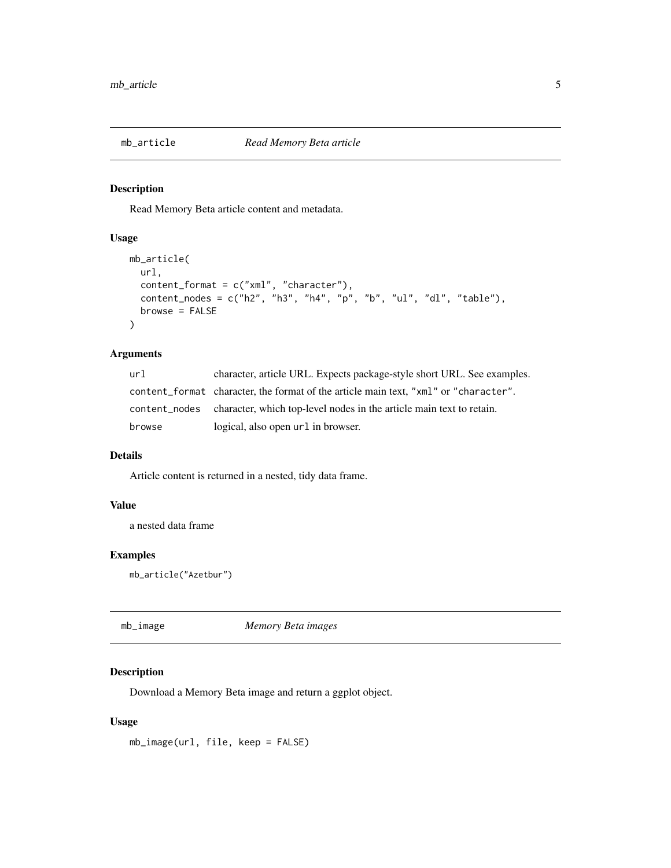<span id="page-4-1"></span><span id="page-4-0"></span>

Read Memory Beta article content and metadata.

## Usage

```
mb_article(
 url,
  content_format = c("xml", "character"),content_nodes = c("h2", "h3", "h4", "p", "b", "ul", "dl", "table"),
 browse = FALSE
\mathcal{E}
```
#### Arguments

| url    | character, article URL. Expects package-style short URL. See examples.               |
|--------|--------------------------------------------------------------------------------------|
|        | content format character, the format of the article main text, "xml" or "character". |
|        | content_nodes character, which top-level nodes in the article main text to retain.   |
| browse | logical, also open url in browser.                                                   |

## Details

Article content is returned in a nested, tidy data frame.

## Value

a nested data frame

## Examples

```
mb_article("Azetbur")
```
mb\_image *Memory Beta images*

## Description

Download a Memory Beta image and return a ggplot object.

## Usage

mb\_image(url, file, keep = FALSE)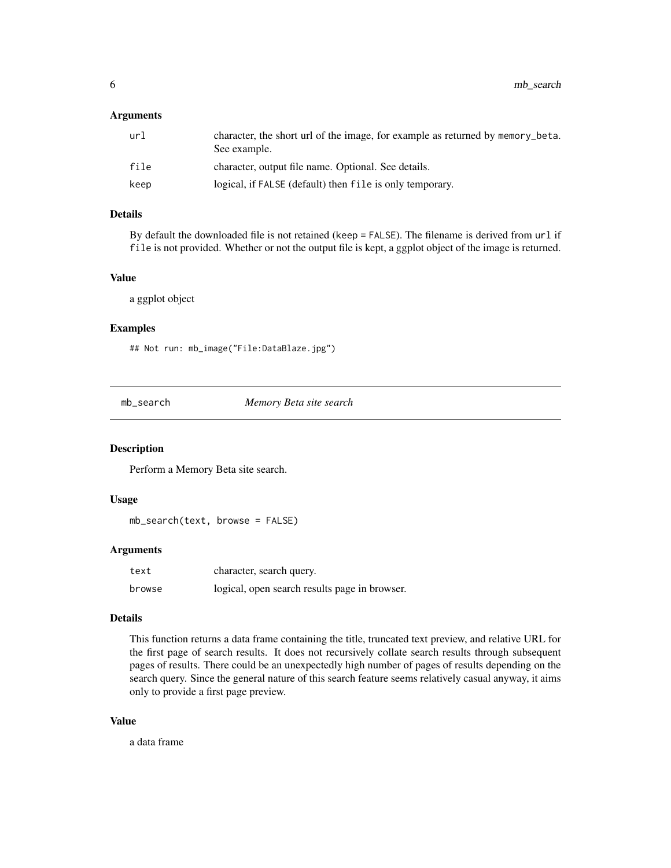## <span id="page-5-0"></span>Arguments

| url  | character, the short url of the image, for example as returned by memory_beta.<br>See example. |
|------|------------------------------------------------------------------------------------------------|
| file | character, output file name. Optional. See details.                                            |
| keep | logical, if FALSE (default) then file is only temporary.                                       |

#### Details

By default the downloaded file is not retained (keep = FALSE). The filename is derived from url if file is not provided. Whether or not the output file is kept, a ggplot object of the image is returned.

#### Value

a ggplot object

#### Examples

## Not run: mb\_image("File:DataBlaze.jpg")

mb\_search *Memory Beta site search*

## Description

Perform a Memory Beta site search.

## Usage

```
mb_search(text, browse = FALSE)
```
## Arguments

| text   | character, search query.                      |
|--------|-----------------------------------------------|
| browse | logical, open search results page in browser. |

#### Details

This function returns a data frame containing the title, truncated text preview, and relative URL for the first page of search results. It does not recursively collate search results through subsequent pages of results. There could be an unexpectedly high number of pages of results depending on the search query. Since the general nature of this search feature seems relatively casual anyway, it aims only to provide a first page preview.

## Value

a data frame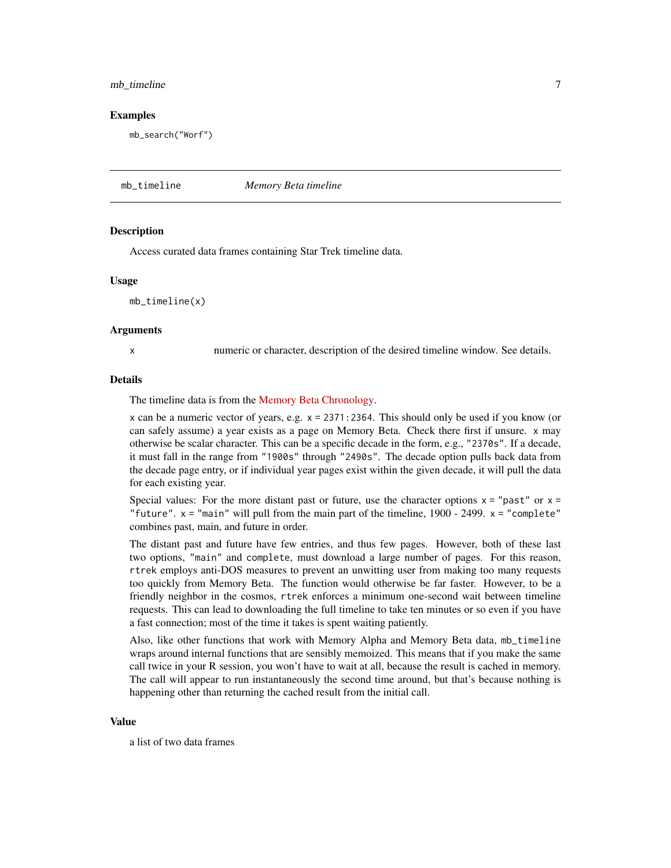## <span id="page-6-0"></span>mb\_timeline 7

#### Examples

mb\_search("Worf")

mb\_timeline *Memory Beta timeline*

#### **Description**

Access curated data frames containing Star Trek timeline data.

#### Usage

mb\_timeline(x)

#### **Arguments**

x numeric or character, description of the desired timeline window. See details.

## Details

The timeline data is from the [Memory Beta Chronology.](https://memory-beta.fandom.com/wiki/Memory_Beta_Chronology)

x can be a numeric vector of years, e.g. x = 2371:2364. This should only be used if you know (or can safely assume) a year exists as a page on Memory Beta. Check there first if unsure. x may otherwise be scalar character. This can be a specific decade in the form, e.g., "2370s". If a decade, it must fall in the range from "1900s" through "2490s". The decade option pulls back data from the decade page entry, or if individual year pages exist within the given decade, it will pull the data for each existing year.

Special values: For the more distant past or future, use the character options  $x =$ "past" or  $x =$ "future".  $x =$  "main" will pull from the main part of the timeline, 1900 - 2499.  $x =$  "complete" combines past, main, and future in order.

The distant past and future have few entries, and thus few pages. However, both of these last two options, "main" and complete, must download a large number of pages. For this reason, rtrek employs anti-DOS measures to prevent an unwitting user from making too many requests too quickly from Memory Beta. The function would otherwise be far faster. However, to be a friendly neighbor in the cosmos, rtrek enforces a minimum one-second wait between timeline requests. This can lead to downloading the full timeline to take ten minutes or so even if you have a fast connection; most of the time it takes is spent waiting patiently.

Also, like other functions that work with Memory Alpha and Memory Beta data, mb\_timeline wraps around internal functions that are sensibly memoized. This means that if you make the same call twice in your R session, you won't have to wait at all, because the result is cached in memory. The call will appear to run instantaneously the second time around, but that's because nothing is happening other than returning the cached result from the initial call.

#### Value

a list of two data frames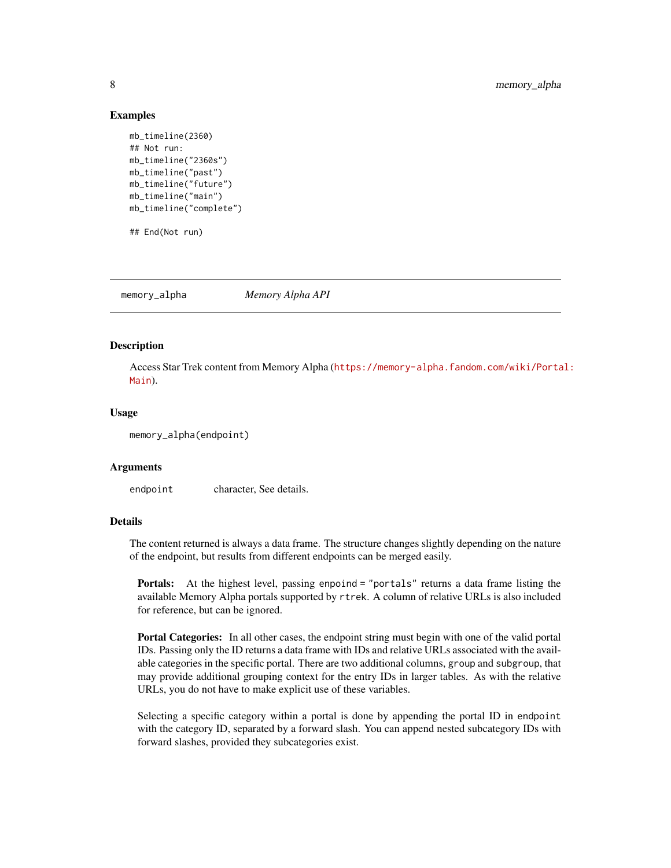#### Examples

```
mb_timeline(2360)
## Not run:
mb_timeline("2360s")
mb_timeline("past")
mb_timeline("future")
mb_timeline("main")
mb_timeline("complete")
## End(Not run)
```
<span id="page-7-1"></span>memory\_alpha *Memory Alpha API*

#### **Description**

Access Star Trek content from Memory Alpha ([https://memory-alpha.fandom.com/wiki/Porta](https://memory-alpha.fandom.com/wiki/Portal:Main)l: [Main](https://memory-alpha.fandom.com/wiki/Portal:Main)).

#### Usage

memory\_alpha(endpoint)

#### Arguments

endpoint character, See details.

## **Details**

The content returned is always a data frame. The structure changes slightly depending on the nature of the endpoint, but results from different endpoints can be merged easily.

Portals: At the highest level, passing enpoind = "portals" returns a data frame listing the available Memory Alpha portals supported by rtrek. A column of relative URLs is also included for reference, but can be ignored.

Portal Categories: In all other cases, the endpoint string must begin with one of the valid portal IDs. Passing only the ID returns a data frame with IDs and relative URLs associated with the available categories in the specific portal. There are two additional columns, group and subgroup, that may provide additional grouping context for the entry IDs in larger tables. As with the relative URLs, you do not have to make explicit use of these variables.

Selecting a specific category within a portal is done by appending the portal ID in endpoint with the category ID, separated by a forward slash. You can append nested subcategory IDs with forward slashes, provided they subcategories exist.

<span id="page-7-0"></span>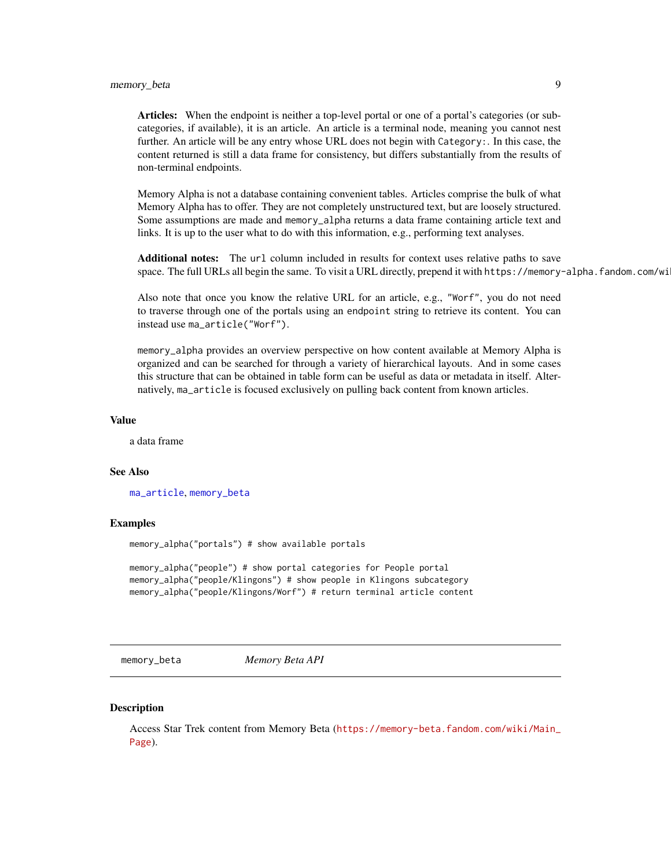<span id="page-8-0"></span>Articles: When the endpoint is neither a top-level portal or one of a portal's categories (or subcategories, if available), it is an article. An article is a terminal node, meaning you cannot nest further. An article will be any entry whose URL does not begin with Category:. In this case, the content returned is still a data frame for consistency, but differs substantially from the results of non-terminal endpoints.

Memory Alpha is not a database containing convenient tables. Articles comprise the bulk of what Memory Alpha has to offer. They are not completely unstructured text, but are loosely structured. Some assumptions are made and memory\_alpha returns a data frame containing article text and links. It is up to the user what to do with this information, e.g., performing text analyses.

Additional notes: The url column included in results for context uses relative paths to save space. The full URLs all begin the same. To visit a URL directly, prepend it with https://memory-alpha.fandom.com/wi

Also note that once you know the relative URL for an article, e.g., "Worf", you do not need to traverse through one of the portals using an endpoint string to retrieve its content. You can instead use ma\_article("Worf").

memory\_alpha provides an overview perspective on how content available at Memory Alpha is organized and can be searched for through a variety of hierarchical layouts. And in some cases this structure that can be obtained in table form can be useful as data or metadata in itself. Alternatively, ma\_article is focused exclusively on pulling back content from known articles.

#### Value

a data frame

#### See Also

[ma\\_article](#page-1-1), [memory\\_beta](#page-8-1)

#### Examples

memory\_alpha("portals") # show available portals

memory\_alpha("people") # show portal categories for People portal memory\_alpha("people/Klingons") # show people in Klingons subcategory memory\_alpha("people/Klingons/Worf") # return terminal article content

<span id="page-8-1"></span>memory\_beta *Memory Beta API*

#### **Description**

Access Star Trek content from Memory Beta ([https://memory-beta.fandom.com/wiki/Main\\_](https://memory-beta.fandom.com/wiki/Main_Page) [Page](https://memory-beta.fandom.com/wiki/Main_Page)).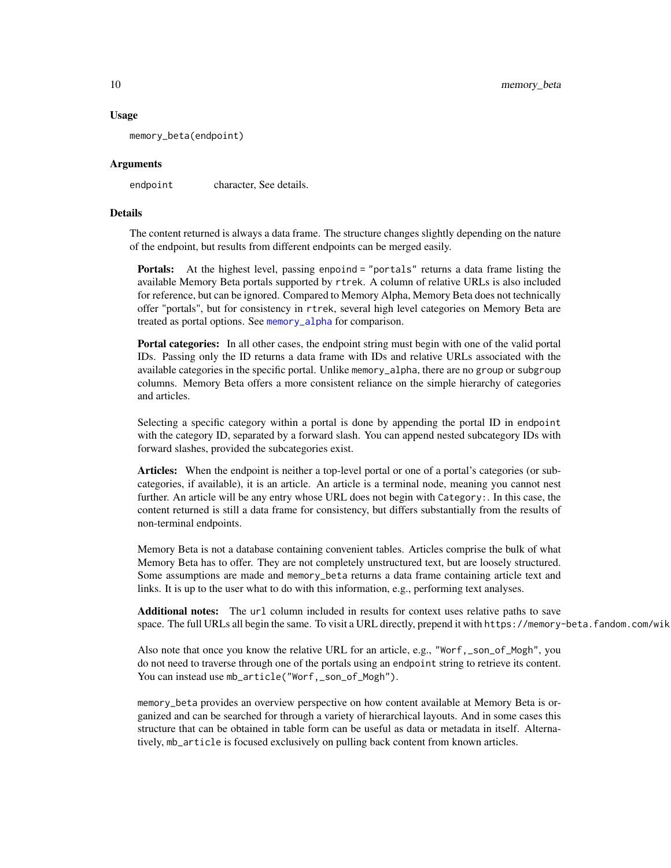#### Usage

memory\_beta(endpoint)

#### Arguments

endpoint character, See details.

#### Details

The content returned is always a data frame. The structure changes slightly depending on the nature of the endpoint, but results from different endpoints can be merged easily.

Portals: At the highest level, passing enpoind = "portals" returns a data frame listing the available Memory Beta portals supported by rtrek. A column of relative URLs is also included for reference, but can be ignored. Compared to Memory Alpha, Memory Beta does not technically offer "portals", but for consistency in rtrek, several high level categories on Memory Beta are treated as portal options. See [memory\\_alpha](#page-7-1) for comparison.

Portal categories: In all other cases, the endpoint string must begin with one of the valid portal IDs. Passing only the ID returns a data frame with IDs and relative URLs associated with the available categories in the specific portal. Unlike memory\_alpha, there are no group or subgroup columns. Memory Beta offers a more consistent reliance on the simple hierarchy of categories and articles.

Selecting a specific category within a portal is done by appending the portal ID in endpoint with the category ID, separated by a forward slash. You can append nested subcategory IDs with forward slashes, provided the subcategories exist.

Articles: When the endpoint is neither a top-level portal or one of a portal's categories (or subcategories, if available), it is an article. An article is a terminal node, meaning you cannot nest further. An article will be any entry whose URL does not begin with Category:. In this case, the content returned is still a data frame for consistency, but differs substantially from the results of non-terminal endpoints.

Memory Beta is not a database containing convenient tables. Articles comprise the bulk of what Memory Beta has to offer. They are not completely unstructured text, but are loosely structured. Some assumptions are made and memory\_beta returns a data frame containing article text and links. It is up to the user what to do with this information, e.g., performing text analyses.

Additional notes: The url column included in results for context uses relative paths to save space. The full URLs all begin the same. To visit a URL directly, prepend it with https://memory-beta.fandom.com/wik

Also note that once you know the relative URL for an article, e.g., "Worf, \_son\_of\_Mogh", you do not need to traverse through one of the portals using an endpoint string to retrieve its content. You can instead use mb\_article("Worf,\_son\_of\_Mogh").

memory\_beta provides an overview perspective on how content available at Memory Beta is organized and can be searched for through a variety of hierarchical layouts. And in some cases this structure that can be obtained in table form can be useful as data or metadata in itself. Alternatively, mb\_article is focused exclusively on pulling back content from known articles.

<span id="page-9-0"></span>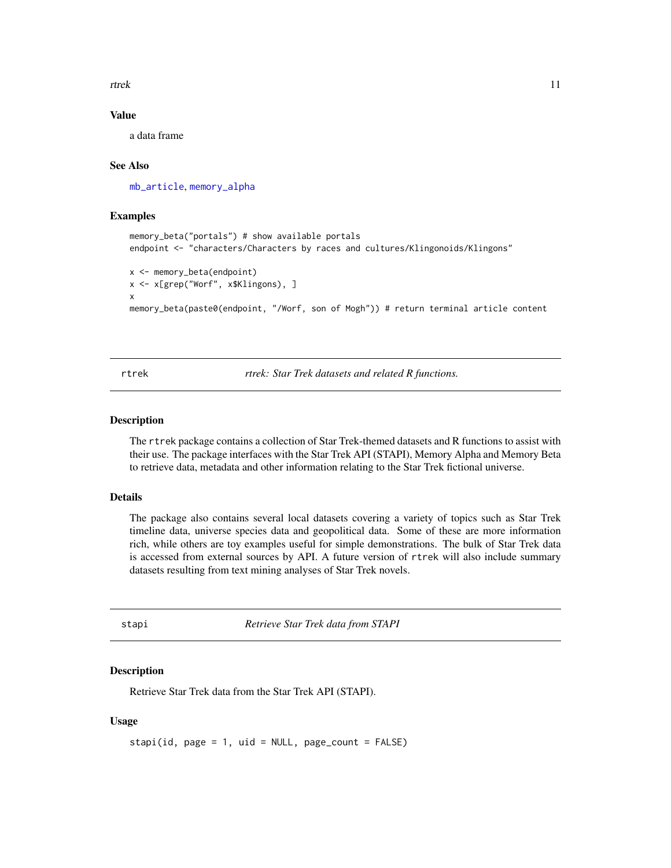<span id="page-10-0"></span>rtrek 11

## Value

a data frame

#### See Also

[mb\\_article](#page-4-1), [memory\\_alpha](#page-7-1)

#### Examples

```
memory_beta("portals") # show available portals
endpoint <- "characters/Characters by races and cultures/Klingonoids/Klingons"
x <- memory_beta(endpoint)
x <- x[grep("Worf", x$Klingons), ]
x
memory_beta(paste0(endpoint, "/Worf, son of Mogh")) # return terminal article content
```
rtrek *rtrek: Star Trek datasets and related R functions.*

#### Description

The rtrek package contains a collection of Star Trek-themed datasets and R functions to assist with their use. The package interfaces with the Star Trek API (STAPI), Memory Alpha and Memory Beta to retrieve data, metadata and other information relating to the Star Trek fictional universe.

#### Details

The package also contains several local datasets covering a variety of topics such as Star Trek timeline data, universe species data and geopolitical data. Some of these are more information rich, while others are toy examples useful for simple demonstrations. The bulk of Star Trek data is accessed from external sources by API. A future version of rtrek will also include summary datasets resulting from text mining analyses of Star Trek novels.

<span id="page-10-1"></span>stapi *Retrieve Star Trek data from STAPI*

#### Description

Retrieve Star Trek data from the Star Trek API (STAPI).

#### Usage

stapi(id, page =  $1$ , uid = NULL, page\_count = FALSE)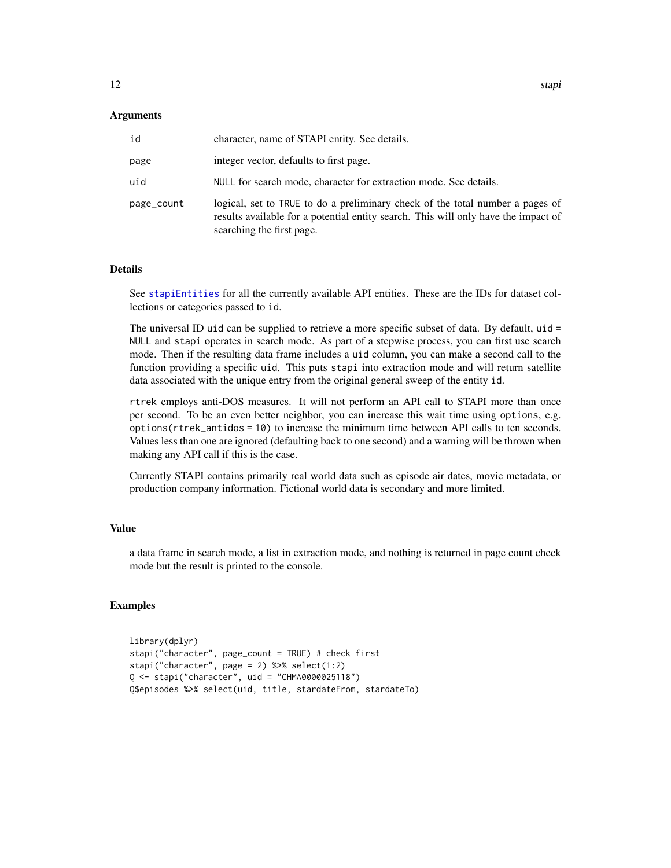#### <span id="page-11-0"></span>Arguments

| id         | character, name of STAPI entity. See details.                                                                                                                                                    |
|------------|--------------------------------------------------------------------------------------------------------------------------------------------------------------------------------------------------|
| page       | integer vector, defaults to first page.                                                                                                                                                          |
| uid        | NULL for search mode, character for extraction mode. See details.                                                                                                                                |
| page_count | logical, set to TRUE to do a preliminary check of the total number a pages of<br>results available for a potential entity search. This will only have the impact of<br>searching the first page. |

#### Details

See [stapiEntities](#page-12-1) for all the currently available API entities. These are the IDs for dataset collections or categories passed to id.

The universal ID uid can be supplied to retrieve a more specific subset of data. By default, uid = NULL and stapi operates in search mode. As part of a stepwise process, you can first use search mode. Then if the resulting data frame includes a uid column, you can make a second call to the function providing a specific uid. This puts stapi into extraction mode and will return satellite data associated with the unique entry from the original general sweep of the entity id.

rtrek employs anti-DOS measures. It will not perform an API call to STAPI more than once per second. To be an even better neighbor, you can increase this wait time using options, e.g. options(rtrek\_antidos = 10) to increase the minimum time between API calls to ten seconds. Values less than one are ignored (defaulting back to one second) and a warning will be thrown when making any API call if this is the case.

Currently STAPI contains primarily real world data such as episode air dates, movie metadata, or production company information. Fictional world data is secondary and more limited.

#### Value

a data frame in search mode, a list in extraction mode, and nothing is returned in page count check mode but the result is printed to the console.

#### Examples

```
library(dplyr)
stapi("character", page_count = TRUE) # check first
stapi("character", page = 2) %>% select(1:2)
Q <- stapi("character", uid = "CHMA0000025118")
Q$episodes %>% select(uid, title, stardateFrom, stardateTo)
```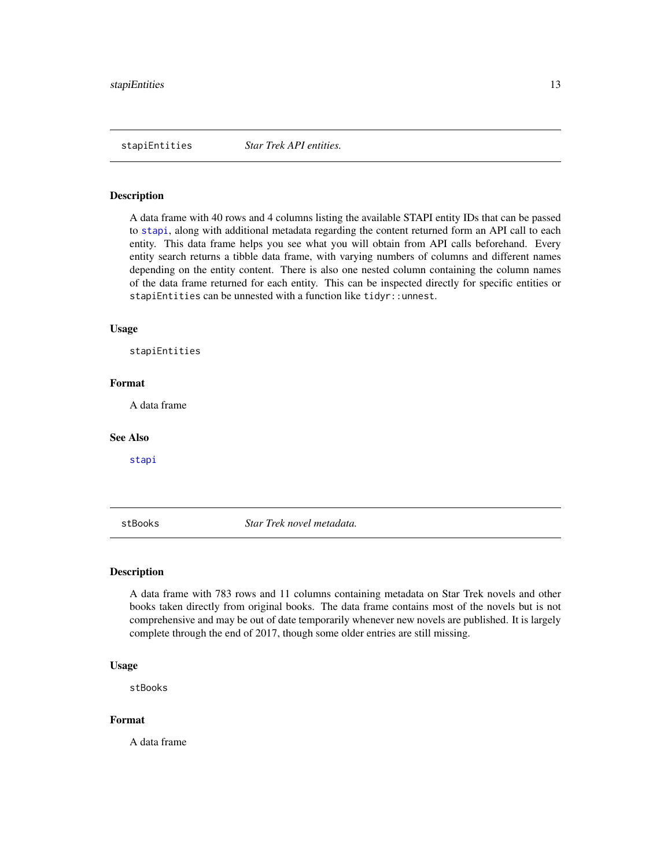<span id="page-12-1"></span><span id="page-12-0"></span>stapiEntities *Star Trek API entities.*

#### Description

A data frame with 40 rows and 4 columns listing the available STAPI entity IDs that can be passed to [stapi](#page-10-1), along with additional metadata regarding the content returned form an API call to each entity. This data frame helps you see what you will obtain from API calls beforehand. Every entity search returns a tibble data frame, with varying numbers of columns and different names depending on the entity content. There is also one nested column containing the column names of the data frame returned for each entity. This can be inspected directly for specific entities or stapiEntities can be unnested with a function like tidyr::unnest.

#### Usage

stapiEntities

#### Format

A data frame

#### See Also

[stapi](#page-10-1)

<span id="page-12-2"></span>stBooks *Star Trek novel metadata.*

### Description

A data frame with 783 rows and 11 columns containing metadata on Star Trek novels and other books taken directly from original books. The data frame contains most of the novels but is not comprehensive and may be out of date temporarily whenever new novels are published. It is largely complete through the end of 2017, though some older entries are still missing.

### Usage

stBooks

#### Format

A data frame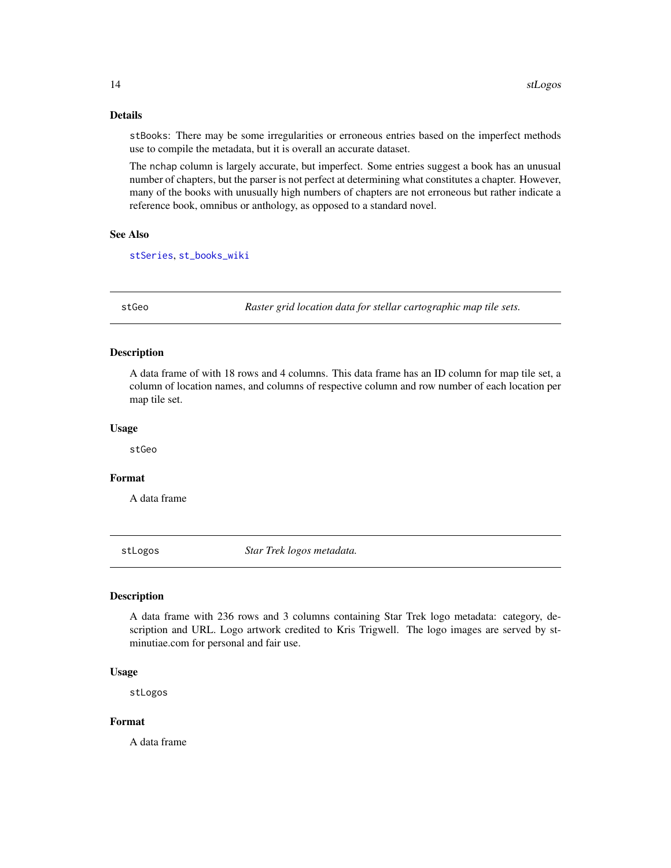## Details

stBooks: There may be some irregularities or erroneous entries based on the imperfect methods use to compile the metadata, but it is overall an accurate dataset.

The nchap column is largely accurate, but imperfect. Some entries suggest a book has an unusual number of chapters, but the parser is not perfect at determining what constitutes a chapter. However, many of the books with unusually high numbers of chapters are not erroneous but rather indicate a reference book, omnibus or anthology, as opposed to a standard novel.

## See Also

[stSeries](#page-14-1), [st\\_books\\_wiki](#page-15-1)

stGeo *Raster grid location data for stellar cartographic map tile sets.*

## Description

A data frame of with 18 rows and 4 columns. This data frame has an ID column for map tile set, a column of location names, and columns of respective column and row number of each location per map tile set.

#### Usage

stGeo

## Format

A data frame

<span id="page-13-1"></span>stLogos *Star Trek logos metadata.*

## Description

A data frame with 236 rows and 3 columns containing Star Trek logo metadata: category, description and URL. Logo artwork credited to Kris Trigwell. The logo images are served by stminutiae.com for personal and fair use.

#### Usage

stLogos

## Format

A data frame

<span id="page-13-0"></span>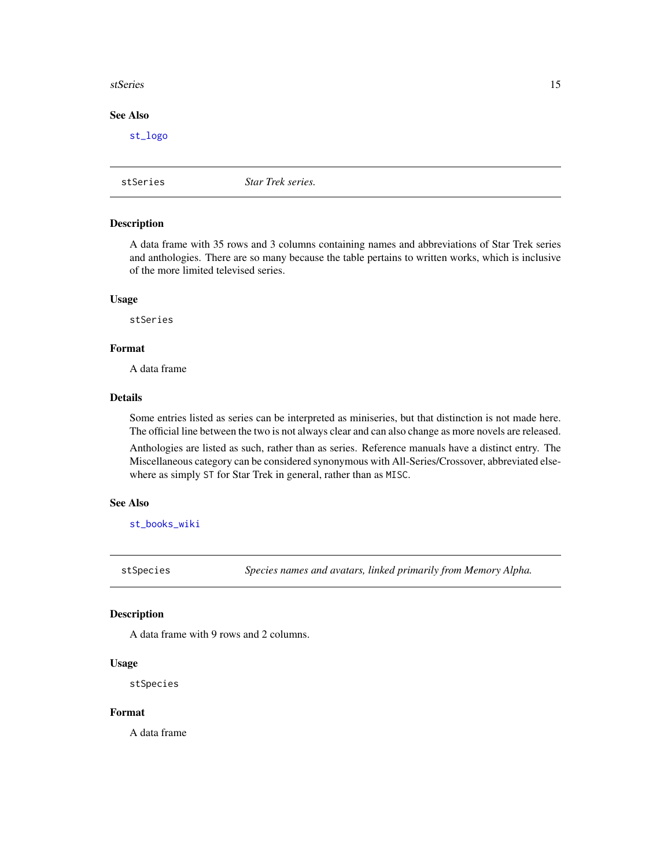#### <span id="page-14-0"></span>stSeries 15

## See Also

[st\\_logo](#page-17-1)

<span id="page-14-1"></span>stSeries *Star Trek series.*

## Description

A data frame with 35 rows and 3 columns containing names and abbreviations of Star Trek series and anthologies. There are so many because the table pertains to written works, which is inclusive of the more limited televised series.

#### Usage

stSeries

#### Format

A data frame

## Details

Some entries listed as series can be interpreted as miniseries, but that distinction is not made here. The official line between the two is not always clear and can also change as more novels are released.

Anthologies are listed as such, rather than as series. Reference manuals have a distinct entry. The Miscellaneous category can be considered synonymous with All-Series/Crossover, abbreviated elsewhere as simply ST for Star Trek in general, rather than as MISC.

#### See Also

[st\\_books\\_wiki](#page-15-1)

stSpecies *Species names and avatars, linked primarily from Memory Alpha.*

## Description

A data frame with 9 rows and 2 columns.

#### Usage

stSpecies

## Format

A data frame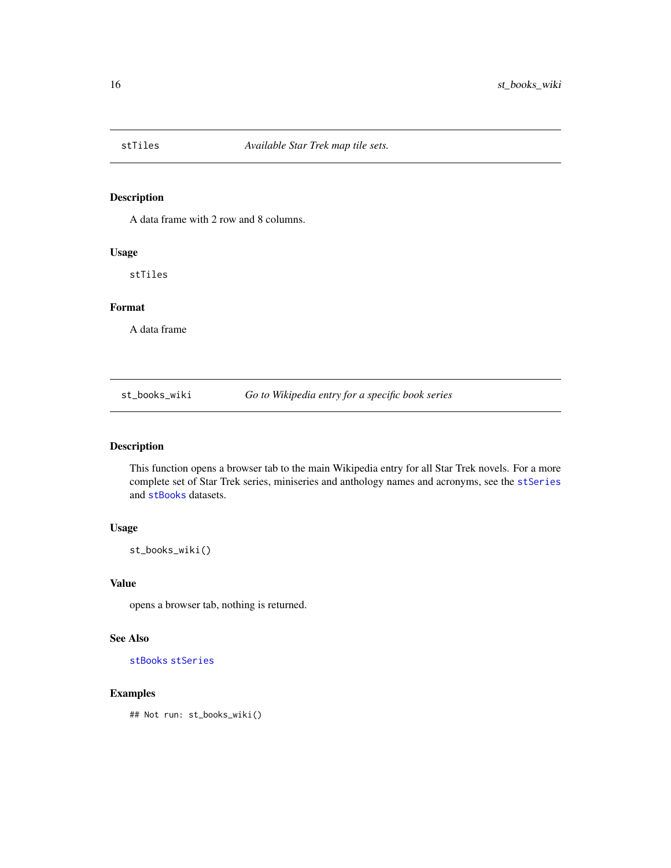<span id="page-15-2"></span><span id="page-15-0"></span>

A data frame with 2 row and 8 columns.

## Usage

stTiles

## Format

A data frame

<span id="page-15-1"></span>st\_books\_wiki *Go to Wikipedia entry for a specific book series*

## Description

This function opens a browser tab to the main Wikipedia entry for all Star Trek novels. For a more complete set of Star Trek series, miniseries and anthology names and acronyms, see the [stSeries](#page-14-1) and [stBooks](#page-12-2) datasets.

## Usage

st\_books\_wiki()

#### Value

opens a browser tab, nothing is returned.

### See Also

[stBooks](#page-12-2) [stSeries](#page-14-1)

## Examples

## Not run: st\_books\_wiki()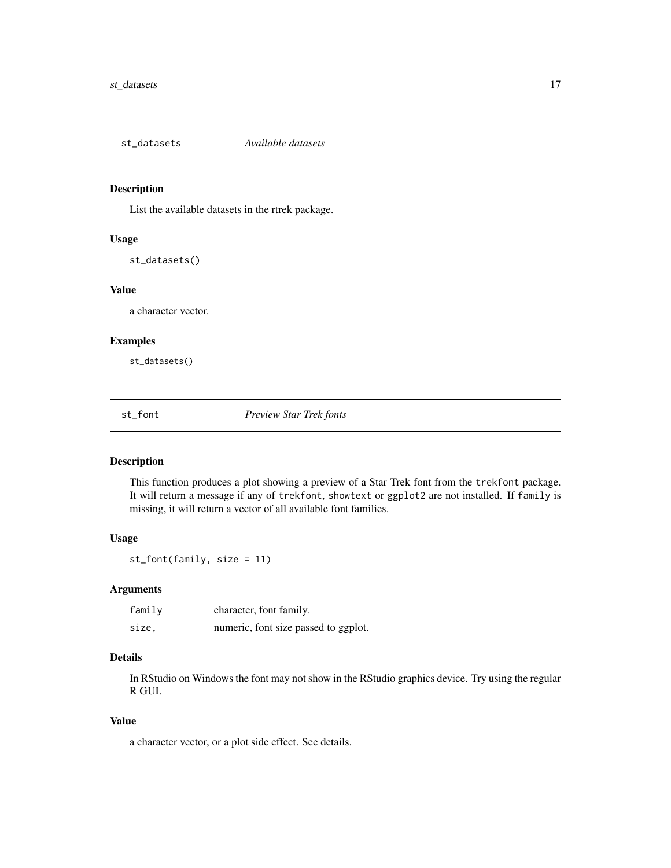<span id="page-16-0"></span>

List the available datasets in the rtrek package.

### Usage

st\_datasets()

#### Value

a character vector.

#### Examples

st\_datasets()

st\_font *Preview Star Trek fonts*

### Description

This function produces a plot showing a preview of a Star Trek font from the trekfont package. It will return a message if any of trekfont, showtext or ggplot2 are not installed. If family is missing, it will return a vector of all available font families.

#### Usage

st\_font(family, size = 11)

#### Arguments

| family | character, font family.              |
|--------|--------------------------------------|
| size.  | numeric, font size passed to ggplot. |

## Details

In RStudio on Windows the font may not show in the RStudio graphics device. Try using the regular R GUI.

## Value

a character vector, or a plot side effect. See details.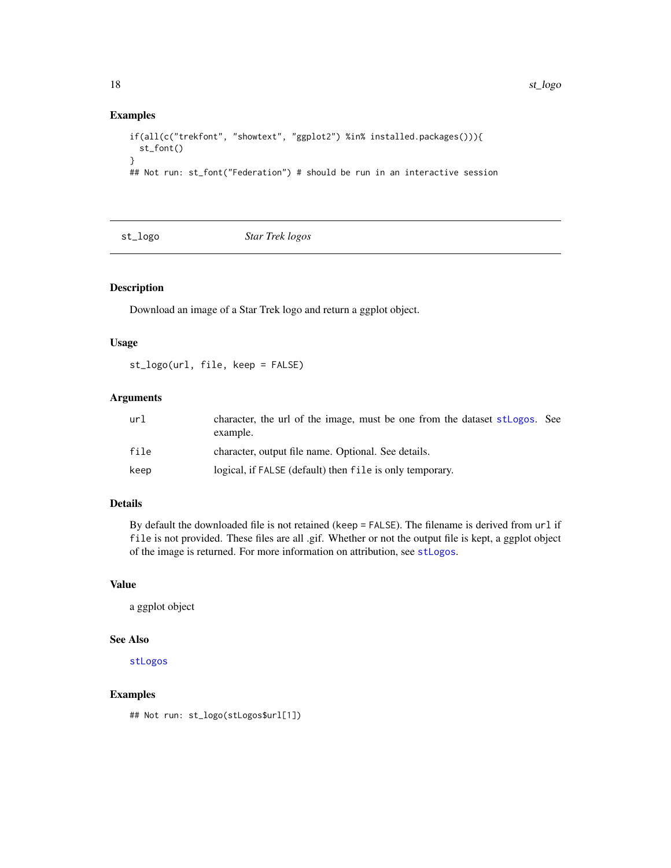## Examples

```
if(all(c("trekfont", "showtext", "ggplot2") %in% installed.packages())){
 st_font()
}
## Not run: st_font("Federation") # should be run in an interactive session
```
<span id="page-17-1"></span>st\_logo *Star Trek logos*

## Description

Download an image of a Star Trek logo and return a ggplot object.

## Usage

st\_logo(url, file, keep = FALSE)

## Arguments

| url  | character, the url of the image, must be one from the dataset stlogos. See<br>example. |
|------|----------------------------------------------------------------------------------------|
| file | character, output file name. Optional. See details.                                    |
| keep | logical, if FALSE (default) then file is only temporary.                               |

## Details

By default the downloaded file is not retained (keep = FALSE). The filename is derived from url if file is not provided. These files are all .gif. Whether or not the output file is kept, a ggplot object of the image is returned. For more information on attribution, see [stLogos](#page-13-1).

### Value

a ggplot object

### See Also

[stLogos](#page-13-1)

## Examples

## Not run: st\_logo(stLogos\$url[1])

<span id="page-17-0"></span>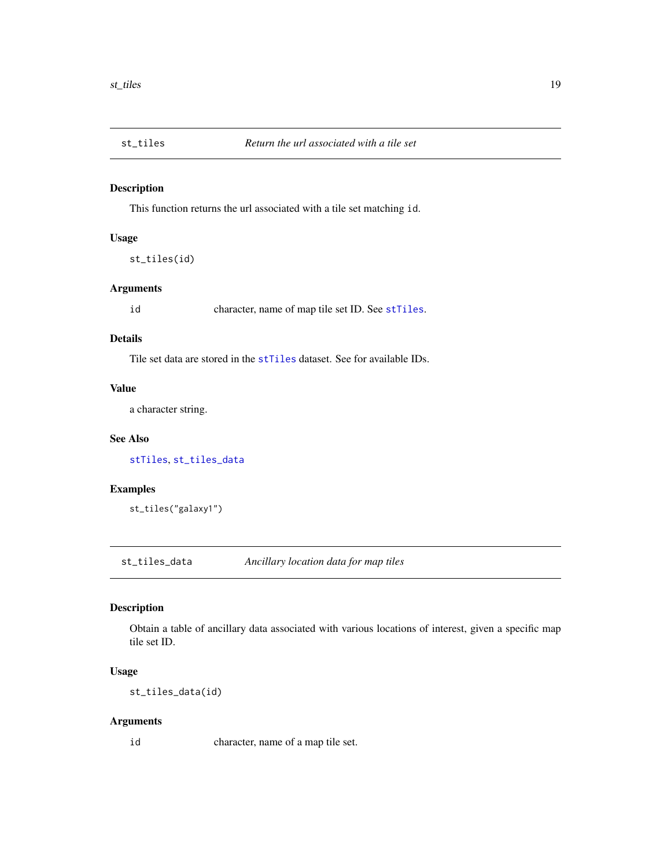<span id="page-18-2"></span><span id="page-18-0"></span>

This function returns the url associated with a tile set matching id.

## Usage

st\_tiles(id)

## Arguments

id character, name of map tile set ID. See [stTiles](#page-15-2).

## Details

Tile set data are stored in the [stTiles](#page-15-2) dataset. See for available IDs.

## Value

a character string.

## See Also

[stTiles](#page-15-2), [st\\_tiles\\_data](#page-18-1)

## Examples

st\_tiles("galaxy1")

<span id="page-18-1"></span>st\_tiles\_data *Ancillary location data for map tiles*

## Description

Obtain a table of ancillary data associated with various locations of interest, given a specific map tile set ID.

#### Usage

st\_tiles\_data(id)

## Arguments

id character, name of a map tile set.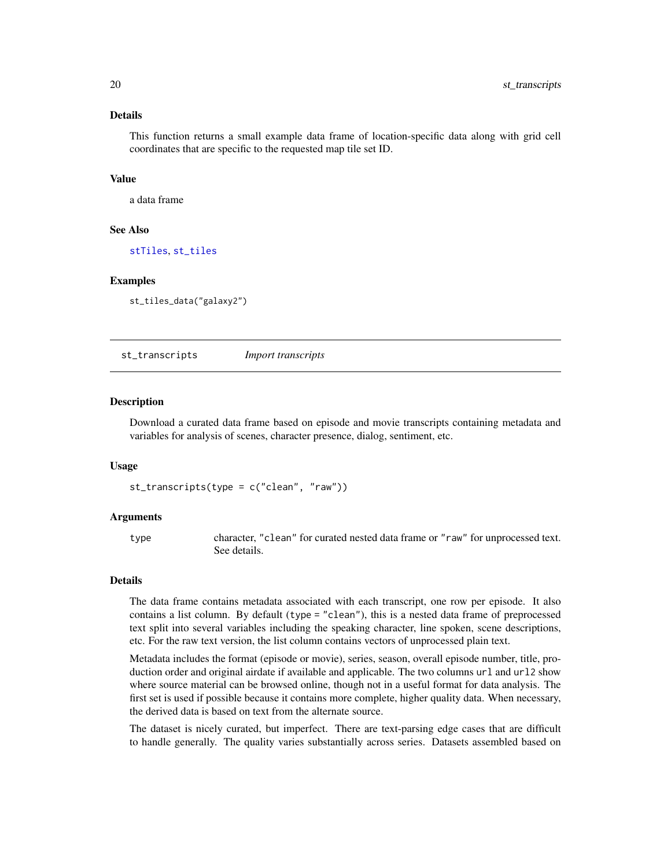## <span id="page-19-0"></span>Details

This function returns a small example data frame of location-specific data along with grid cell coordinates that are specific to the requested map tile set ID.

#### Value

a data frame

## See Also

[stTiles](#page-15-2), [st\\_tiles](#page-18-2)

#### Examples

st\_tiles\_data("galaxy2")

st\_transcripts *Import transcripts*

#### Description

Download a curated data frame based on episode and movie transcripts containing metadata and variables for analysis of scenes, character presence, dialog, sentiment, etc.

#### Usage

```
st_transcripts(type = c("clean", "raw"))
```
#### Arguments

type character, "clean" for curated nested data frame or "raw" for unprocessed text. See details.

#### Details

The data frame contains metadata associated with each transcript, one row per episode. It also contains a list column. By default (type = "clean"), this is a nested data frame of preprocessed text split into several variables including the speaking character, line spoken, scene descriptions, etc. For the raw text version, the list column contains vectors of unprocessed plain text.

Metadata includes the format (episode or movie), series, season, overall episode number, title, production order and original airdate if available and applicable. The two columns url and url2 show where source material can be browsed online, though not in a useful format for data analysis. The first set is used if possible because it contains more complete, higher quality data. When necessary, the derived data is based on text from the alternate source.

The dataset is nicely curated, but imperfect. There are text-parsing edge cases that are difficult to handle generally. The quality varies substantially across series. Datasets assembled based on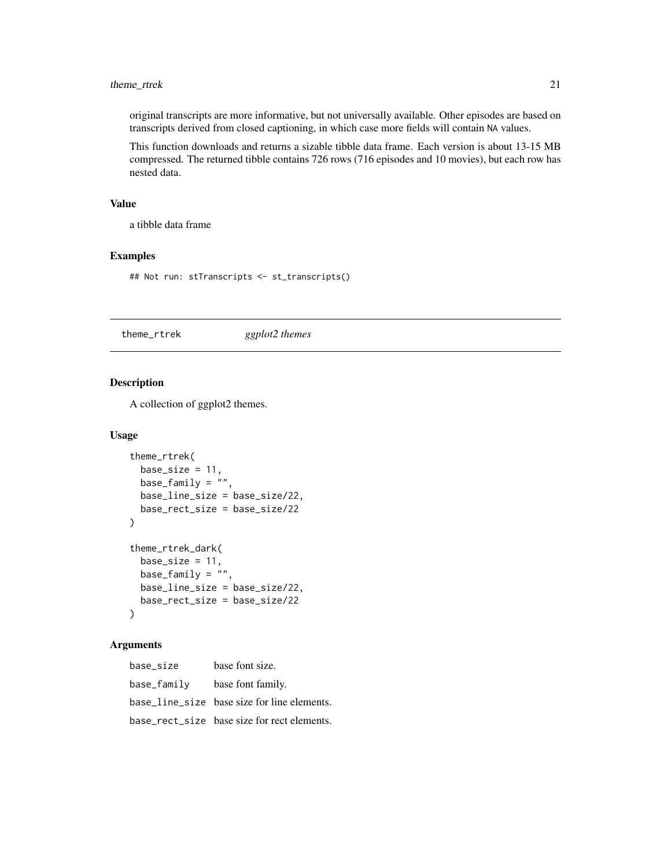## <span id="page-20-0"></span>theme\_rtrek 21

original transcripts are more informative, but not universally available. Other episodes are based on transcripts derived from closed captioning, in which case more fields will contain NA values.

This function downloads and returns a sizable tibble data frame. Each version is about 13-15 MB compressed. The returned tibble contains 726 rows (716 episodes and 10 movies), but each row has nested data.

## Value

a tibble data frame

#### Examples

## Not run: stTranscripts <- st\_transcripts()

theme\_rtrek *ggplot2 themes*

## Description

A collection of ggplot2 themes.

#### Usage

```
theme_rtrek(
 base_size = 11,
 base_family = \overline{''''},
 base_line_size = base_size/22,
 base_rect_size = base_size/22
)
theme_rtrek_dark(
 base_size = 11,
 base_family = ",
 base_line_size = base_size/22,
 base_rect_size = base_size/22
)
```
#### Arguments

base\_size base font size. base\_family base font family. base\_line\_size base size for line elements. base\_rect\_size base size for rect elements.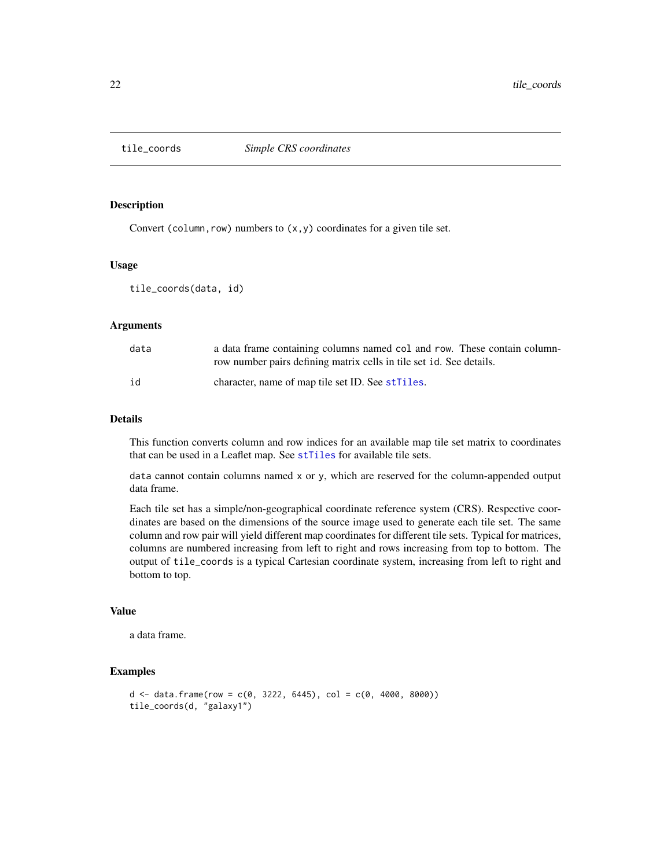<span id="page-21-0"></span>

Convert (column, row) numbers to  $(x, y)$  coordinates for a given tile set.

## Usage

tile\_coords(data, id)

## Arguments

| data | a data frame containing columns named col and row. These contain column- |
|------|--------------------------------------------------------------------------|
|      | row number pairs defining matrix cells in tile set id. See details.      |
| id   | character, name of map tile set ID. See strilles.                        |

#### Details

This function converts column and row indices for an available map tile set matrix to coordinates that can be used in a Leaflet map. See [stTiles](#page-15-2) for available tile sets.

data cannot contain columns named x or y, which are reserved for the column-appended output data frame.

Each tile set has a simple/non-geographical coordinate reference system (CRS). Respective coordinates are based on the dimensions of the source image used to generate each tile set. The same column and row pair will yield different map coordinates for different tile sets. Typical for matrices, columns are numbered increasing from left to right and rows increasing from top to bottom. The output of tile\_coords is a typical Cartesian coordinate system, increasing from left to right and bottom to top.

### Value

a data frame.

#### Examples

```
d \le - data.frame(row = c(0, 3222, 6445), col = c(0, 4000, 8000))
tile_coords(d, "galaxy1")
```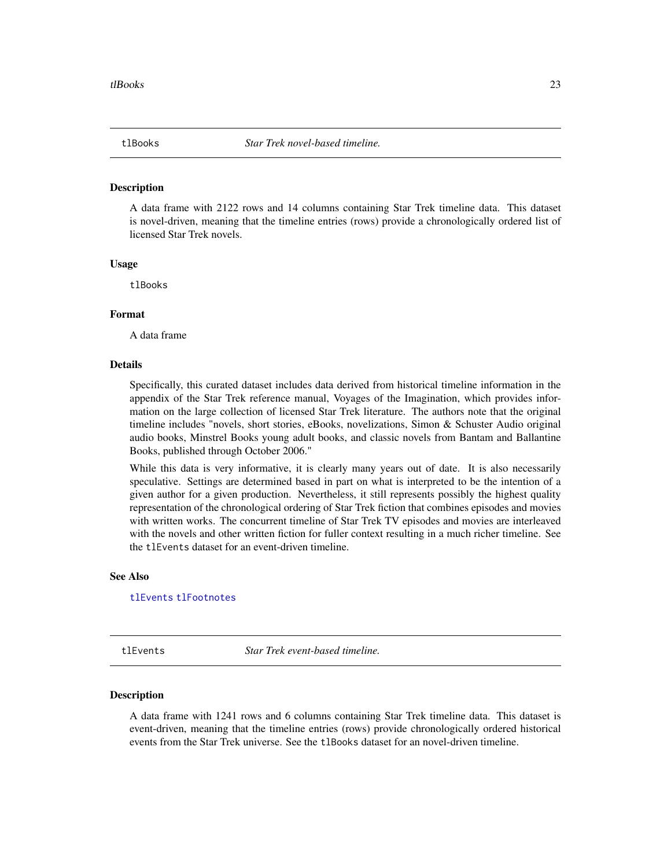<span id="page-22-2"></span><span id="page-22-0"></span>

A data frame with 2122 rows and 14 columns containing Star Trek timeline data. This dataset is novel-driven, meaning that the timeline entries (rows) provide a chronologically ordered list of licensed Star Trek novels.

## Usage

tlBooks

#### Format

A data frame

#### Details

Specifically, this curated dataset includes data derived from historical timeline information in the appendix of the Star Trek reference manual, Voyages of the Imagination, which provides information on the large collection of licensed Star Trek literature. The authors note that the original timeline includes "novels, short stories, eBooks, novelizations, Simon & Schuster Audio original audio books, Minstrel Books young adult books, and classic novels from Bantam and Ballantine Books, published through October 2006."

While this data is very informative, it is clearly many years out of date. It is also necessarily speculative. Settings are determined based in part on what is interpreted to be the intention of a given author for a given production. Nevertheless, it still represents possibly the highest quality representation of the chronological ordering of Star Trek fiction that combines episodes and movies with written works. The concurrent timeline of Star Trek TV episodes and movies are interleaved with the novels and other written fiction for fuller context resulting in a much richer timeline. See the tlEvents dataset for an event-driven timeline.

## See Also

[tlEvents](#page-22-1) [tlFootnotes](#page-23-1)

<span id="page-22-1"></span>tlEvents *Star Trek event-based timeline.*

#### **Description**

A data frame with 1241 rows and 6 columns containing Star Trek timeline data. This dataset is event-driven, meaning that the timeline entries (rows) provide chronologically ordered historical events from the Star Trek universe. See the tlBooks dataset for an novel-driven timeline.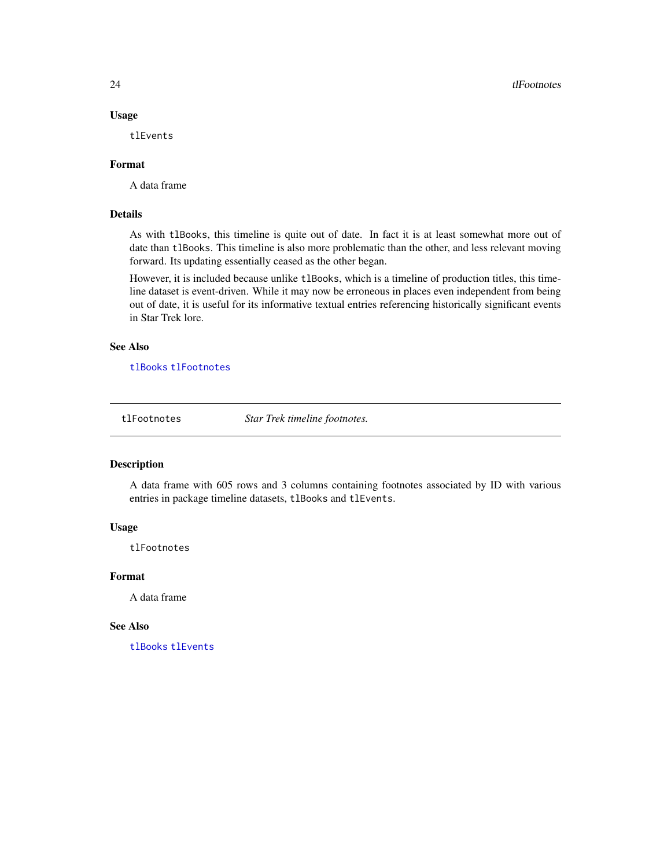## Usage

tlEvents

#### Format

A data frame

#### Details

As with tlBooks, this timeline is quite out of date. In fact it is at least somewhat more out of date than tlBooks. This timeline is also more problematic than the other, and less relevant moving forward. Its updating essentially ceased as the other began.

However, it is included because unlike tlBooks, which is a timeline of production titles, this timeline dataset is event-driven. While it may now be erroneous in places even independent from being out of date, it is useful for its informative textual entries referencing historically significant events in Star Trek lore.

#### See Also

[tlBooks](#page-22-2) [tlFootnotes](#page-23-1)

<span id="page-23-1"></span>tlFootnotes *Star Trek timeline footnotes.*

## Description

A data frame with 605 rows and 3 columns containing footnotes associated by ID with various entries in package timeline datasets, tlBooks and tlEvents.

#### Usage

tlFootnotes

## Format

A data frame

### See Also

[tlBooks](#page-22-2) [tlEvents](#page-22-1)

<span id="page-23-0"></span>